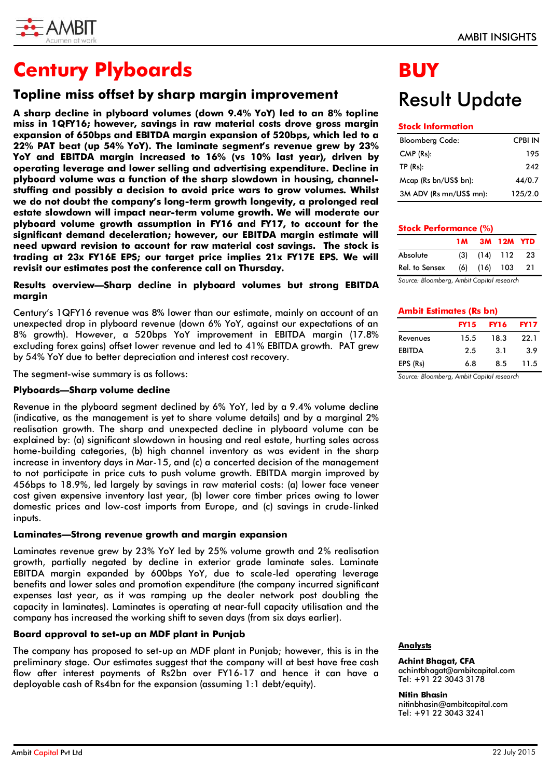

# **Century Plyboards**

## **Topline miss offset by sharp margin improvement**

**A sharp decline in plyboard volumes (down 9.4% YoY) led to an 8% topline miss in 1QFY16; however, savings in raw material costs drove gross margin expansion of 650bps and EBITDA margin expansion of 520bps, which led to a 22% PAT beat (up 54% YoY). The laminate segment's revenue grew by 23% YoY and EBITDA margin increased to 16% (vs 10% last year), driven by operating leverage and lower selling and advertising expenditure. Decline in plyboard volume was a function of the sharp slowdown in housing, channelstuffing and possibly a decision to avoid price wars to grow volumes. Whilst we do not doubt the company's long-term growth longevity, a prolonged real estate slowdown will impact near-term volume growth. We will moderate our plyboard volume growth assumption in FY16 and FY17, to account for the significant demand deceleration; however, our EBITDA margin estimate will need upward revision to account for raw material cost savings. The stock is trading at 23x FY16E EPS; our target price implies 21x FY17E EPS. We will revisit our estimates post the conference call on Thursday.** 

## **Results overview—Sharp decline in plyboard volumes but strong EBITDA margin**

Century's 1QFY16 revenue was 8% lower than our estimate, mainly on account of an unexpected drop in plyboard revenue (down 6% YoY, against our expectations of an 8% growth). However, a 520bps YoY improvement in EBITDA margin (17.8% excluding forex gains) offset lower revenue and led to 41% EBITDA growth. PAT grew by 54% YoY due to better depreciation and interest cost recovery.

The segment-wise summary is as follows:

## **Plyboards—Sharp volume decline**

Revenue in the plyboard segment declined by 6% YoY, led by a 9.4% volume decline (indicative, as the management is yet to share volume details) and by a marginal 2% realisation growth. The sharp and unexpected decline in plyboard volume can be explained by: (a) significant slowdown in housing and real estate, hurting sales across home-building categories, (b) high channel inventory as was evident in the sharp increase in inventory days in Mar-15, and (c) a concerted decision of the management to not participate in price cuts to push volume growth. EBITDA margin improved by 456bps to 18.9%, led largely by savings in raw material costs: (a) lower face veneer cost given expensive inventory last year, (b) lower core timber prices owing to lower domestic prices and low-cost imports from Europe, and (c) savings in crude-linked inputs.

### **Laminates—Strong revenue growth and margin expansion**

Laminates revenue grew by 23% YoY led by 25% volume growth and 2% realisation growth, partially negated by decline in exterior grade laminate sales. Laminate EBITDA margin expanded by 600bps YoY, due to scale-led operating leverage benefits and lower sales and promotion expenditure (the company incurred significant expenses last year, as it was ramping up the dealer network post doubling the capacity in laminates). Laminates is operating at near-full capacity utilisation and the company has increased the working shift to seven days (from six days earlier).

## **Board approval to set-up an MDF plant in Punjab**

The company has proposed to set-up an MDF plant in Punjab; however, this is in the preliminary stage. Our estimates suggest that the company will at best have free cash flow after interest payments of Rs2bn over FY16-17 and hence it can have a deployable cash of Rs4bn for the expansion (assuming 1:1 debt/equity).

# **BUY**

# Result Update

## **Stock Information**

| <b>Bloomberg Code:</b>  | <b>CPBI IN</b> |
|-------------------------|----------------|
| $CMP$ ( $Rs$ ):         | 195            |
| TP(Rs):                 | 242            |
| Mcap (Rs bn/US\$ bn):   | 44/0.7         |
| 3M ADV (Rs mn/US\$ mn): | 125/2.0        |

## **Stock Performance 1M 3M 12M YTD**

| Absolute       |  | $(3)$ $(14)$ 112 23 |  |
|----------------|--|---------------------|--|
| Rel. to Sensex |  | (6) (16) 103 21     |  |

*Source: Bloomberg, Ambit Capital research*

## **Ambit Estimates (Rs bn)**

|               | <b>FY15</b> | <b>FY16</b> | <b>FY17</b> |
|---------------|-------------|-------------|-------------|
| Revenues      | 15.5        | 18.3        | 22.1        |
| <b>EBITDA</b> | 2.5         | 3.1         | 3.9         |
| EPS (Rs)      | 6.8         | 8.5         | 11.5        |

*Source: Bloomberg, Ambit Capital research*

### **Analysts**

#### **Achint Bhagat, CFA**  achintbhagat@ambitcapital.com Tel: +91 22 3043 3178

**Nitin Bhasin**

nitinbhasin@ambitcapital.com Tel: +91 22 3043 3241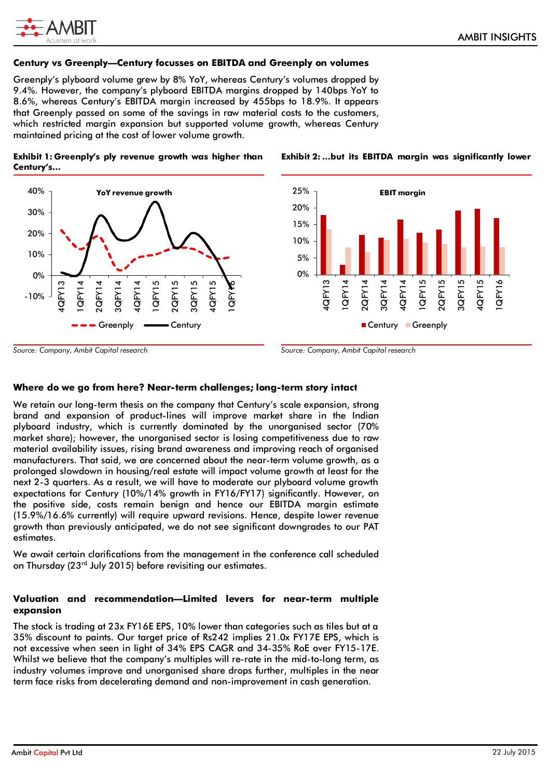

## **Century vs Greenply—Century focusses on EBITDA and Greenply on volumes**

Greenply's plyboard volume grew by 8% YoY, whereas Century's volumes dropped by 9.4%. However, the company's plyboard EBITDA margins dropped by 140bps YoY to 8.6%, whereas Century's EBITDA margin increased by 455bps to 18.9%. It appears that Greenply passed on some of the savings in raw material costs to the customers, which restricted margin expansion but supported volume growth, whereas Century maintained pricing at the cost of lower volume growth.

## **Exhibit 1: Greenply's ply revenue growth was higher than Century's…**





**Exhibit 2: …but its EBITDA margin was significantly lower**

*Source: Company, Ambit Capital research*

*Source: Company, Ambit Capital research*

## **Where do we go from here? Near-term challenges; long-term story intact**

We retain our long-term thesis on the company that Century's scale expansion, strong brand and expansion of product-lines will improve market share in the Indian plyboard industry, which is currently dominated by the unorganised sector (70% market share); however, the unorganised sector is losing competitiveness due to raw material availability issues, rising brand awareness and improving reach of organised manufacturers. That said, we are concerned about the near-term volume growth, as a prolonged slowdown in housing/real estate will impact volume growth at least for the next 2-3 quarters. As a result, we will have to moderate our plyboard volume growth expectations for Century (10%/14% growth in FY16/FY17) significantly. However, on the positive side, costs remain benign and hence our EBITDA margin estimate (15.9%/16.6% currently) will require upward revisions. Hence, despite lower revenue growth than previously anticipated, we do not see significant downgrades to our PAT estimates.

We await certain clarifications from the management in the conference call scheduled on Thursday (23rd July 2015) before revisiting our estimates.

## **Valuation and recommendation—Limited levers for near-term multiple expansion**

The stock is trading at 23x FY16E EPS, 10% lower than categories such as tiles but at a 35% discount to paints. Our target price of Rs242 implies 21.0x FY17E EPS, which is not excessive when seen in light of 34% EPS CAGR and 34-35% RoE over FY15-17E. Whilst we believe that the company's multiples will re-rate in the mid-to-long term, as industry volumes improve and unorganised share drops further, multiples in the near term face risks from decelerating demand and non-improvement in cash generation.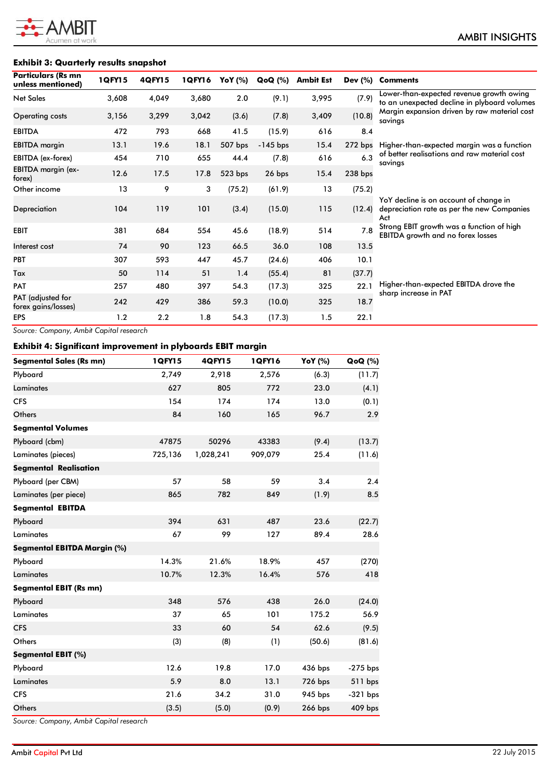

## **Exhibit 3: Quarterly results snapshot**

| <b>Particulars (Rs mn</b><br>unless mentioned) | 1 QFY 15 | 4QFY15 | 1QFY16 | YoY (%)   | <b>QoQ</b> (%) | <b>Ambit Est</b> | Dev $(\%)$ | <b>Comments</b>                                                                             |
|------------------------------------------------|----------|--------|--------|-----------|----------------|------------------|------------|---------------------------------------------------------------------------------------------|
| <b>Net Sales</b>                               | 3,608    | 4,049  | 3,680  | 2.0       | (9.1)          | 3,995            | (7.9)      | Lower-than-expected revenue growth owing<br>to an unexpected decline in plyboard volumes    |
| <b>Operating costs</b>                         | 3,156    | 3,299  | 3,042  | (3.6)     | (7.8)          | 3,409            | (10.8)     | Margin expansion driven by raw material cost<br>savings                                     |
| <b>EBITDA</b>                                  | 472      | 793    | 668    | 41.5      | (15.9)         | 616              | 8.4        |                                                                                             |
| <b>EBITDA</b> margin                           | 13.1     | 19.6   | 18.1   | 507 bps   | $-145$ bps     | 15.4             | 272 bps    | Higher-than-expected margin was a function                                                  |
| EBITDA (ex-forex)                              | 454      | 710    | 655    | 44.4      | (7.8)          | 616              | 6.3        | of better realisations and raw material cost<br>savings                                     |
| EBITDA margin (ex-<br>forex)                   | 12.6     | 17.5   | 17.8   | $523$ bps | 26 bps         | 15.4             | 238 bps    |                                                                                             |
| Other income                                   | 13       | 9      | 3      | (75.2)    | (61.9)         | 13               | (75.2)     |                                                                                             |
| Depreciation                                   | 104      | 119    | 101    | (3.4)     | (15.0)         | 115              | (12.4)     | YoY decline is on account of change in<br>depreciation rate as per the new Companies<br>Act |
| <b>EBIT</b>                                    | 381      | 684    | 554    | 45.6      | (18.9)         | 514              | 7.8        | Strong EBIT growth was a function of high<br><b>EBITDA</b> growth and no forex losses       |
| Interest cost                                  | 74       | 90     | 123    | 66.5      | 36.0           | 108              | 13.5       |                                                                                             |
| PBT                                            | 307      | 593    | 447    | 45.7      | (24.6)         | 406              | 10.1       |                                                                                             |
| Tax                                            | 50       | 114    | 51     | 1.4       | (55.4)         | 81               | (37.7)     |                                                                                             |
| PAT                                            | 257      | 480    | 397    | 54.3      | (17.3)         | 325              | 22.1       | Higher-than-expected EBITDA drove the                                                       |
| PAT (adjusted for<br>forex gains/losses)       | 242      | 429    | 386    | 59.3      | (10.0)         | 325              | 18.7       | sharp increase in PAT                                                                       |
| <b>EPS</b>                                     | 1.2      | 2.2    | 1.8    | 54.3      | (17.3)         | 1.5              | 22.1       |                                                                                             |

*Source: Company, Ambit Capital research*

## **Exhibit 4: Significant improvement in plyboards EBIT margin**

| <b>Segmental Sales (Rs mn)</b>     | 1QFY15  | 4QFY15    | 1 QFY16 | YoY (%) | QoQ (%)    |
|------------------------------------|---------|-----------|---------|---------|------------|
| Plyboard                           | 2,749   | 2,918     | 2,576   | (6.3)   | (11.7)     |
| Laminates                          | 627     | 805       | 772     | 23.0    | (4.1)      |
| <b>CFS</b>                         | 154     | 174       | 174     | 13.0    | (0.1)      |
| Others                             | 84      | 160       | 165     | 96.7    | 2.9        |
| <b>Segmental Volumes</b>           |         |           |         |         |            |
| Plyboard (cbm)                     | 47875   | 50296     | 43383   | (9.4)   | (13.7)     |
| Laminates (pieces)                 | 725,136 | 1,028,241 | 909,079 | 25.4    | (11.6)     |
| <b>Segmental Realisation</b>       |         |           |         |         |            |
| Plyboard (per CBM)                 | 57      | 58        | 59      | 3.4     | 2.4        |
| Laminates (per piece)              | 865     | 782       | 849     | (1.9)   | 8.5        |
| <b>Segmental EBITDA</b>            |         |           |         |         |            |
| Plyboard                           | 394     | 631       | 487     | 23.6    | (22.7)     |
| Laminates                          | 67      | 99        | 127     | 89.4    | 28.6       |
| <b>Segmental EBITDA Margin (%)</b> |         |           |         |         |            |
| Plyboard                           | 14.3%   | 21.6%     | 18.9%   | 457     | (270)      |
| Laminates                          | 10.7%   | 12.3%     | 16.4%   | 576     | 418        |
| <b>Segmental EBIT (Rs mn)</b>      |         |           |         |         |            |
| Plyboard                           | 348     | 576       | 438     | 26.0    | (24.0)     |
| Laminates                          | 37      | 65        | 101     | 175.2   | 56.9       |
| <b>CFS</b>                         | 33      | 60        | 54      | 62.6    | (9.5)      |
| Others                             | (3)     | (8)       | (1)     | (50.6)  | (81.6)     |
| Segmental EBIT (%)                 |         |           |         |         |            |
| Plyboard                           | 12.6    | 19.8      | 17.0    | 436 bps | $-275$ bps |
| Laminates                          | 5.9     | 8.0       | 13.1    | 726 bps | 511 bps    |
| <b>CFS</b>                         | 21.6    | 34.2      | 31.0    | 945 bps | $-321$ bps |
| Others                             | (3.5)   | (5.0)     | (0.9)   | 266 bps | 409 bps    |

*Source: Company, Ambit Capital research*